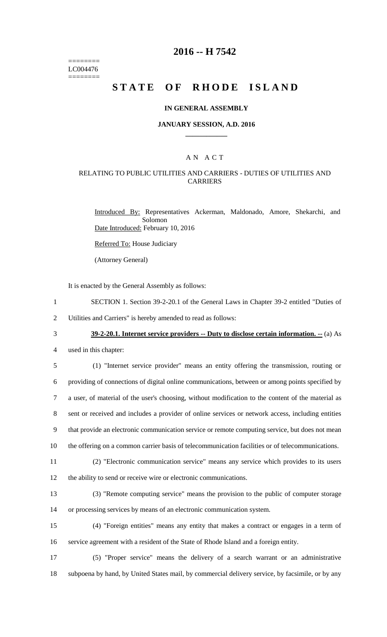======== LC004476 ========

# **2016 -- H 7542**

# STATE OF RHODE ISLAND

#### **IN GENERAL ASSEMBLY**

#### **JANUARY SESSION, A.D. 2016 \_\_\_\_\_\_\_\_\_\_\_\_**

### A N A C T

#### RELATING TO PUBLIC UTILITIES AND CARRIERS - DUTIES OF UTILITIES AND CARRIERS

Introduced By: Representatives Ackerman, Maldonado, Amore, Shekarchi, and Solomon Date Introduced: February 10, 2016

Referred To: House Judiciary

(Attorney General)

It is enacted by the General Assembly as follows:

1 SECTION 1. Section 39-2-20.1 of the General Laws in Chapter 39-2 entitled "Duties of 2 Utilities and Carriers" is hereby amended to read as follows:

# 3 **39-2-20.1. Internet service providers -- Duty to disclose certain information. --** (a) As

4 used in this chapter:

 (1) "Internet service provider" means an entity offering the transmission, routing or providing of connections of digital online communications, between or among points specified by a user, of material of the user's choosing, without modification to the content of the material as sent or received and includes a provider of online services or network access, including entities that provide an electronic communication service or remote computing service, but does not mean the offering on a common carrier basis of telecommunication facilities or of telecommunications.

11 (2) "Electronic communication service" means any service which provides to its users

12 the ability to send or receive wire or electronic communications.

13 (3) "Remote computing service" means the provision to the public of computer storage 14 or processing services by means of an electronic communication system.

15 (4) "Foreign entities" means any entity that makes a contract or engages in a term of 16 service agreement with a resident of the State of Rhode Island and a foreign entity.

17 (5) "Proper service" means the delivery of a search warrant or an administrative 18 subpoena by hand, by United States mail, by commercial delivery service, by facsimile, or by any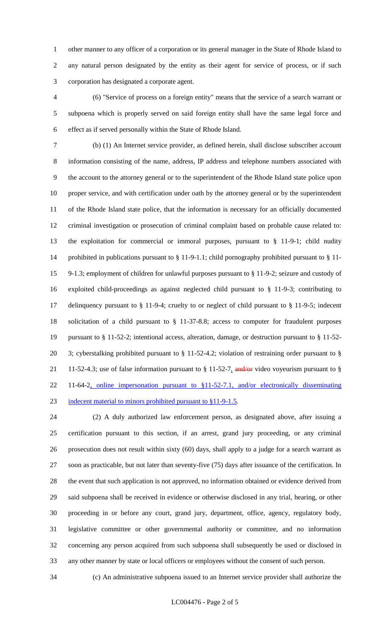other manner to any officer of a corporation or its general manager in the State of Rhode Island to any natural person designated by the entity as their agent for service of process, or if such corporation has designated a corporate agent.

 (6) "Service of process on a foreign entity" means that the service of a search warrant or subpoena which is properly served on said foreign entity shall have the same legal force and effect as if served personally within the State of Rhode Island.

 (b) (1) An Internet service provider, as defined herein, shall disclose subscriber account information consisting of the name, address, IP address and telephone numbers associated with the account to the attorney general or to the superintendent of the Rhode Island state police upon proper service, and with certification under oath by the attorney general or by the superintendent of the Rhode Island state police, that the information is necessary for an officially documented criminal investigation or prosecution of criminal complaint based on probable cause related to: the exploitation for commercial or immoral purposes, pursuant to § 11-9-1; child nudity prohibited in publications pursuant to § 11-9-1.1; child pornography prohibited pursuant to § 11- 9-1.3; employment of children for unlawful purposes pursuant to § 11-9-2; seizure and custody of exploited child-proceedings as against neglected child pursuant to § 11-9-3; contributing to delinquency pursuant to § 11-9-4; cruelty to or neglect of child pursuant to § 11-9-5; indecent solicitation of a child pursuant to § 11-37-8.8; access to computer for fraudulent purposes pursuant to § 11-52-2; intentional access, alteration, damage, or destruction pursuant to § 11-52- 3; cyberstalking prohibited pursuant to § 11-52-4.2; violation of restraining order pursuant to § 21 11-52-4.3; use of false information pursuant to  $\S 11-52-7$ , and/or video voyeurism pursuant to  $\S$  11-64-2, online impersonation pursuant to §11-52-7.1, and/or electronically disseminating 23 indecent material to minors prohibited pursuant to §11-9-1.5.

 (2) A duly authorized law enforcement person, as designated above, after issuing a certification pursuant to this section, if an arrest, grand jury proceeding, or any criminal prosecution does not result within sixty (60) days, shall apply to a judge for a search warrant as soon as practicable, but not later than seventy-five (75) days after issuance of the certification. In the event that such application is not approved, no information obtained or evidence derived from said subpoena shall be received in evidence or otherwise disclosed in any trial, hearing, or other proceeding in or before any court, grand jury, department, office, agency, regulatory body, legislative committee or other governmental authority or committee, and no information concerning any person acquired from such subpoena shall subsequently be used or disclosed in any other manner by state or local officers or employees without the consent of such person.

(c) An administrative subpoena issued to an Internet service provider shall authorize the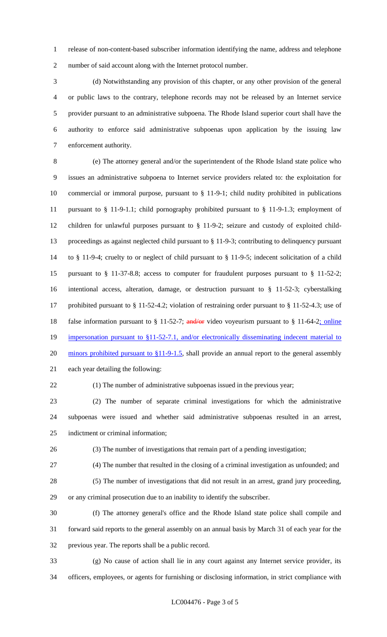release of non-content-based subscriber information identifying the name, address and telephone number of said account along with the Internet protocol number.

 (d) Notwithstanding any provision of this chapter, or any other provision of the general or public laws to the contrary, telephone records may not be released by an Internet service provider pursuant to an administrative subpoena. The Rhode Island superior court shall have the authority to enforce said administrative subpoenas upon application by the issuing law enforcement authority.

 (e) The attorney general and/or the superintendent of the Rhode Island state police who issues an administrative subpoena to Internet service providers related to: the exploitation for commercial or immoral purpose, pursuant to § 11-9-1; child nudity prohibited in publications pursuant to § 11-9-1.1; child pornography prohibited pursuant to § 11-9-1.3; employment of children for unlawful purposes pursuant to § 11-9-2; seizure and custody of exploited child- proceedings as against neglected child pursuant to § 11-9-3; contributing to delinquency pursuant to § 11-9-4; cruelty to or neglect of child pursuant to § 11-9-5; indecent solicitation of a child pursuant to § 11-37-8.8; access to computer for fraudulent purposes pursuant to § 11-52-2; intentional access, alteration, damage, or destruction pursuant to § 11-52-3; cyberstalking prohibited pursuant to § 11-52-4.2; violation of restraining order pursuant to § 11-52-4.3; use of 18 false information pursuant to § 11-52-7; and/or video voyeurism pursuant to § 11-64-2; online 19 impersonation pursuant to §11-52-7.1, and/or electronically disseminating indecent material to 20 minors prohibited pursuant to §11-9-1.5, shall provide an annual report to the general assembly each year detailing the following:

(1) The number of administrative subpoenas issued in the previous year;

 (2) The number of separate criminal investigations for which the administrative subpoenas were issued and whether said administrative subpoenas resulted in an arrest, indictment or criminal information;

(3) The number of investigations that remain part of a pending investigation;

(4) The number that resulted in the closing of a criminal investigation as unfounded; and

 (5) The number of investigations that did not result in an arrest, grand jury proceeding, or any criminal prosecution due to an inability to identify the subscriber.

 (f) The attorney general's office and the Rhode Island state police shall compile and forward said reports to the general assembly on an annual basis by March 31 of each year for the previous year. The reports shall be a public record.

 (g) No cause of action shall lie in any court against any Internet service provider, its officers, employees, or agents for furnishing or disclosing information, in strict compliance with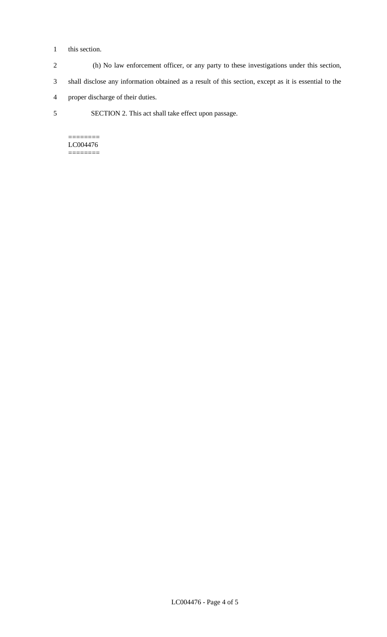#### 1 this section.

- 2 (h) No law enforcement officer, or any party to these investigations under this section,
- 3 shall disclose any information obtained as a result of this section, except as it is essential to the
- 4 proper discharge of their duties.
- 5 SECTION 2. This act shall take effect upon passage.

======== LC004476 ========